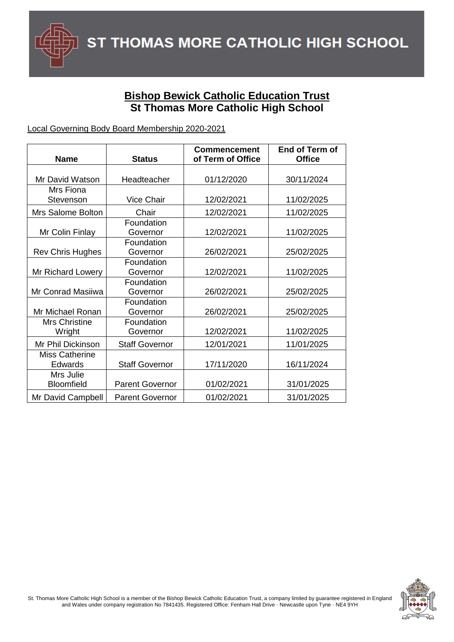

## **Bishop Bewick Catholic Education Trust St Thomas More Catholic High School**

## Local Governing Body Board Membership 2020-2021

| <b>Name</b>                             | <b>Status</b>          | <b>Commencement</b><br>of Term of Office | End of Term of<br><b>Office</b> |
|-----------------------------------------|------------------------|------------------------------------------|---------------------------------|
|                                         |                        |                                          |                                 |
| Mr David Watson                         | Headteacher            | 01/12/2020                               | 30/11/2024                      |
| Mrs Fiona                               |                        |                                          |                                 |
| Stevenson                               | <b>Vice Chair</b>      | 12/02/2021                               | 11/02/2025                      |
| Mrs Salome Bolton                       | Chair                  | 12/02/2021                               | 11/02/2025                      |
| Mr Colin Finlay                         | Foundation<br>Governor | 12/02/2021                               | 11/02/2025                      |
| <b>Rev Chris Hughes</b>                 | Foundation<br>Governor | 26/02/2021                               | 25/02/2025                      |
| Mr Richard Lowery                       | Foundation<br>Governor | 12/02/2021                               | 11/02/2025                      |
| Mr Conrad Masiiwa                       | Foundation<br>Governor | 26/02/2021                               | 25/02/2025                      |
| Mr Michael Ronan                        | Foundation<br>Governor | 26/02/2021                               | 25/02/2025                      |
| Mrs Christine<br>Wright                 | Foundation<br>Governor | 12/02/2021                               | 11/02/2025                      |
| Mr Phil Dickinson                       | <b>Staff Governor</b>  | 12/01/2021                               | 11/01/2025                      |
| <b>Miss Catherine</b><br><b>Edwards</b> | <b>Staff Governor</b>  | 17/11/2020                               | 16/11/2024                      |
| Mrs Julie<br>Bloomfield                 | <b>Parent Governor</b> | 01/02/2021                               | 31/01/2025                      |
| Mr David Campbell                       | <b>Parent Governor</b> | 01/02/2021                               | 31/01/2025                      |